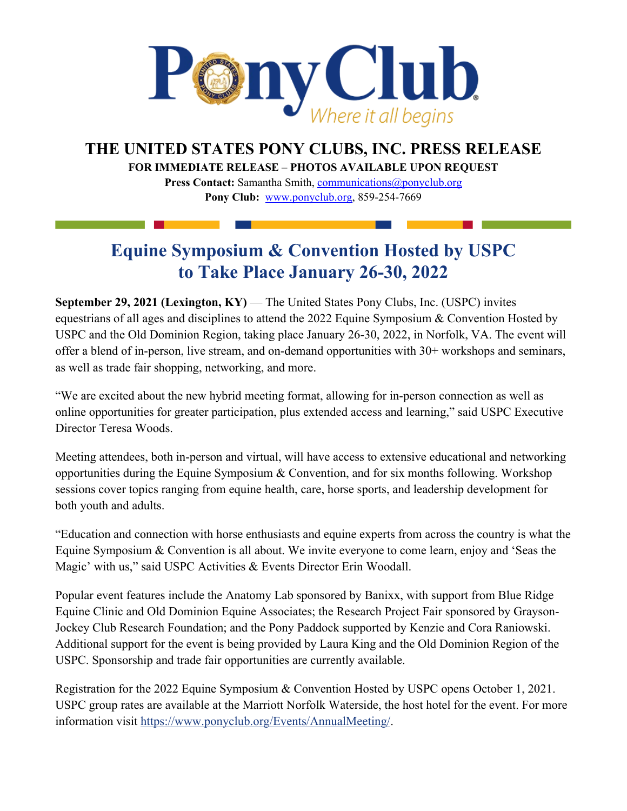

**THE UNITED STATES PONY CLUBS, INC. PRESS RELEASE**

**FOR IMMEDIATE RELEASE** – **PHOTOS AVAILABLE UPON REQUEST** 

**Press Contact:** Samantha Smith, [communications@ponyclub.org](mailto:communications@ponyclub.org) **Pony Club:** [www.ponyclub.org, 8](http://www.ponyclub.org/)59-254-7669

## **Equine Symposium & Convention Hosted by USPC to Take Place January 26-30, 2022**

**September 29, 2021 (Lexington, KY)** — The United States Pony Clubs, Inc. (USPC) invites equestrians of all ages and disciplines to attend the 2022 Equine Symposium & Convention Hosted by USPC and the Old Dominion Region, taking place January 26-30, 2022, in Norfolk, VA. The event will offer a blend of in-person, live stream, and on-demand opportunities with 30+ workshops and seminars, as well as trade fair shopping, networking, and more.

"We are excited about the new hybrid meeting format, allowing for in-person connection as well as online opportunities for greater participation, plus extended access and learning," said USPC Executive Director Teresa Woods.

Meeting attendees, both in-person and virtual, will have access to extensive educational and networking opportunities during the Equine Symposium & Convention, and for six months following. Workshop sessions cover topics ranging from equine health, care, horse sports, and leadership development for both youth and adults.

"Education and connection with horse enthusiasts and equine experts from across the country is what the Equine Symposium & Convention is all about. We invite everyone to come learn, enjoy and 'Seas the Magic' with us," said USPC Activities & Events Director Erin Woodall.

Popular event features include the Anatomy Lab sponsored by Banixx, with support from Blue Ridge Equine Clinic and Old Dominion Equine Associates; the Research Project Fair sponsored by Grayson-Jockey Club Research Foundation; and the Pony Paddock supported by Kenzie and Cora Raniowski. Additional support for the event is being provided by Laura King and the Old Dominion Region of the USPC. Sponsorship and trade fair opportunities are currently available.

Registration for the 2022 Equine Symposium & Convention Hosted by USPC opens October 1, 2021. USPC group rates are available at the Marriott Norfolk Waterside, the host hotel for the event. For more information visit [https://www.ponyclub.org/Events/AnnualMeeting/.](https://www.ponyclub.org/Events/AnnualMeeting/)